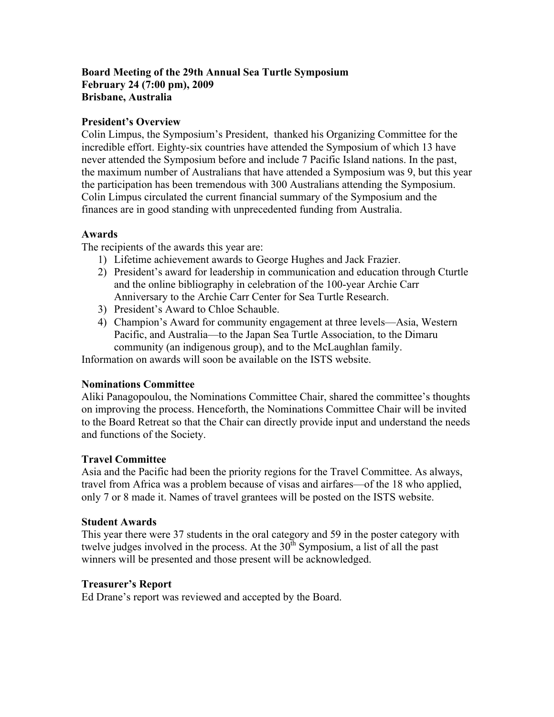# **Board Meeting of the 29th Annual Sea Turtle Symposium February 24 (7:00 pm), 2009 Brisbane, Australia**

## **President's Overview**

Colin Limpus, the Symposium's President, thanked his Organizing Committee for the incredible effort. Eighty-six countries have attended the Symposium of which 13 have never attended the Symposium before and include 7 Pacific Island nations. In the past, the maximum number of Australians that have attended a Symposium was 9, but this year the participation has been tremendous with 300 Australians attending the Symposium. Colin Limpus circulated the current financial summary of the Symposium and the finances are in good standing with unprecedented funding from Australia.

## **Awards**

The recipients of the awards this year are:

- 1) Lifetime achievement awards to George Hughes and Jack Frazier.
- 2) President's award for leadership in communication and education through Cturtle and the online bibliography in celebration of the 100-year Archie Carr Anniversary to the Archie Carr Center for Sea Turtle Research.
- 3) President's Award to Chloe Schauble.
- 4) Champion's Award for community engagement at three levels—Asia, Western Pacific, and Australia—to the Japan Sea Turtle Association, to the Dimaru community (an indigenous group), and to the McLaughlan family.

Information on awards will soon be available on the ISTS website.

# **Nominations Committee**

Aliki Panagopoulou, the Nominations Committee Chair, shared the committee's thoughts on improving the process. Henceforth, the Nominations Committee Chair will be invited to the Board Retreat so that the Chair can directly provide input and understand the needs and functions of the Society.

#### **Travel Committee**

Asia and the Pacific had been the priority regions for the Travel Committee. As always, travel from Africa was a problem because of visas and airfares—of the 18 who applied, only 7 or 8 made it. Names of travel grantees will be posted on the ISTS website.

#### **Student Awards**

This year there were 37 students in the oral category and 59 in the poster category with twelve judges involved in the process. At the  $30<sup>th</sup>$  Symposium, a list of all the past winners will be presented and those present will be acknowledged.

#### **Treasurer's Report**

Ed Drane's report was reviewed and accepted by the Board.